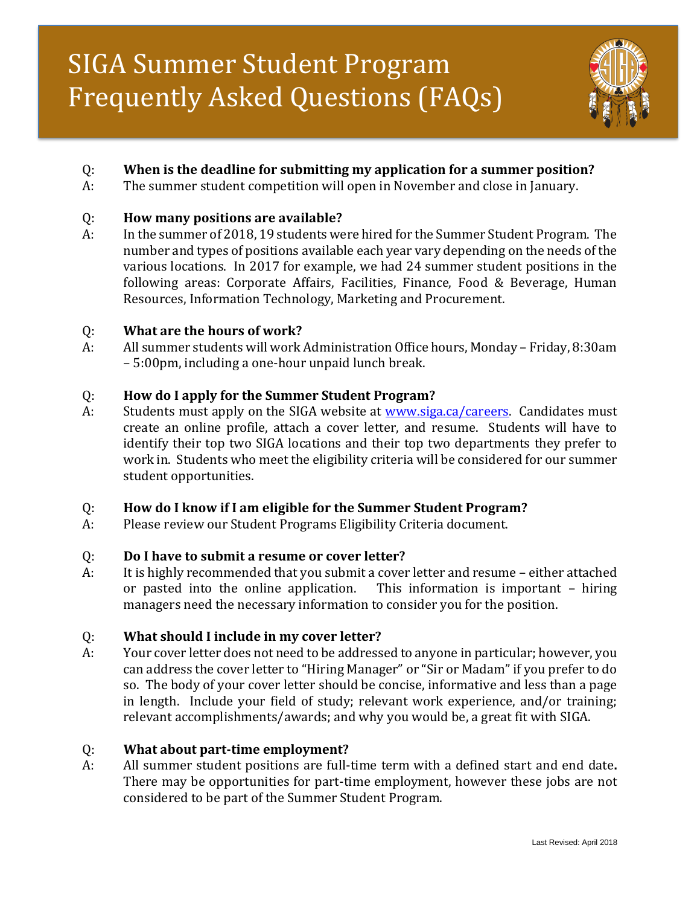# S SIGA Summer Student Program Frequently Asked Questions (FAQs)



# Q: **When is the deadline for submitting my application for a summer position?**

A: The summer student competition will open in November and close in January.

#### Q: **How many positions are available?**

A: In the summer of 2018, 19 students were hired for the Summer Student Program. The number and types of positions available each year vary depending on the needs of the various locations. In 2017 for example, we had 24 summer student positions in the following areas: Corporate Affairs, Facilities, Finance, Food & Beverage, Human Resources, Information Technology, Marketing and Procurement.

#### Q: **What are the hours of work?**

A: All summer students will work Administration Office hours, Monday – Friday, 8:30am – 5:00pm, including a one-hour unpaid lunch break.

## Q: **How do I apply for the Summer Student Program?**

A: Students must apply on the SIGA website at [www.siga.ca/careers.](http://www.siga.ca/careers) Candidates must create an online profile, attach a cover letter, and resume. Students will have to identify their top two SIGA locations and their top two departments they prefer to work in. Students who meet the eligibility criteria will be considered for our summer student opportunities.

## Q: **How do I know if I am eligible for the Summer Student Program?**

A: Please review our Student Programs Eligibility Criteria document.

## Q: **Do I have to submit a resume or cover letter?**

A: It is highly recommended that you submit a cover letter and resume – either attached or pasted into the online application. This information is important – hiring managers need the necessary information to consider you for the position.

## Q: **What should I include in my cover letter?**

A: Your cover letter does not need to be addressed to anyone in particular; however, you can address the cover letter to "Hiring Manager" or "Sir or Madam" if you prefer to do so. The body of your cover letter should be concise, informative and less than a page in length. Include your field of study; relevant work experience, and/or training; relevant accomplishments/awards; and why you would be, a great fit with SIGA.

## Q: **What about part-time employment?**

A: All summer student positions are full-time term with a defined start and end date**.** There may be opportunities for part-time employment, however these jobs are not considered to be part of the Summer Student Program.